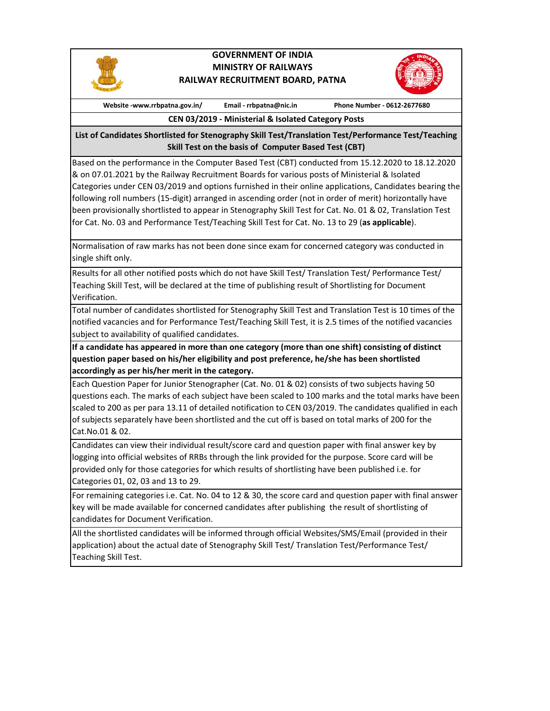

## **GOVERNMENT OF INDIA MINISTRY OF RAILWAYS RAILWAY RECRUITMENT BOARD, PATNA**



**Website ‐www.rrbpatna.gov.in/ Email ‐ rrbpatna@nic.in Phone Number ‐ 0612‐2677680**

**CEN 03/2019 ‐ Ministerial & Isolated Category Posts**

**List of Candidates Shortlisted for Stenography Skill Test/Translation Test/Performance Test/Teaching Skill Test on the basis of Computer Based Test (CBT)** 

Based on the performance in the Computer Based Test (CBT) conducted from 15.12.2020 to 18.12.2020 & on 07.01.2021 by the Railway Recruitment Boards for various posts of Ministerial & Isolated Categories under CEN 03/2019 and options furnished in their online applications, Candidates bearing the following roll numbers (15‐digit) arranged in ascending order (not in order of merit) horizontally have been provisionally shortlisted to appear in Stenography Skill Test for Cat. No. 01 & 02, Translation Test for Cat. No. 03 and Performance Test/Teaching Skill Test for Cat. No. 13 to 29 (**as applicable**).

Normalisation of raw marks has not been done since exam for concerned category was conducted in single shift only.

Results for all other notified posts which do not have Skill Test/ Translation Test/ Performance Test/ Teaching Skill Test, will be declared at the time of publishing result of Shortlisting for Document Verification.

Total number of candidates shortlisted for Stenography Skill Test and Translation Test is 10 times of the notified vacancies and for Performance Test/Teaching Skill Test, it is 2.5 times of the notified vacancies subject to availability of qualified candidates.

**If a candidate has appeared in more than one category (more than one shift) consisting of distinct question paper based on his/her eligibility and post preference, he/she has been shortlisted accordingly as per his/her merit in the category.**

Each Question Paper for Junior Stenographer (Cat. No. 01 & 02) consists of two subjects having 50 questions each. The marks of each subject have been scaled to 100 marks and the total marks have been scaled to 200 as per para 13.11 of detailed notification to CEN 03/2019. The candidates qualified in each of subjects separately have been shortlisted and the cut off is based on total marks of 200 for the Cat.No.01 & 02.

Candidates can view their individual result/score card and question paper with final answer key by logging into official websites of RRBs through the link provided for the purpose. Score card will be provided only for those categories for which results of shortlisting have been published i.e. for Categories 01, 02, 03 and 13 to 29.

For remaining categories i.e. Cat. No. 04 to 12 & 30, the score card and question paper with final answer key will be made available for concerned candidates after publishing the result of shortlisting of candidates for Document Verification.

All the shortlisted candidates will be informed through official Websites/SMS/Email (provided in their application) about the actual date of Stenography Skill Test/ Translation Test/Performance Test/ Teaching Skill Test.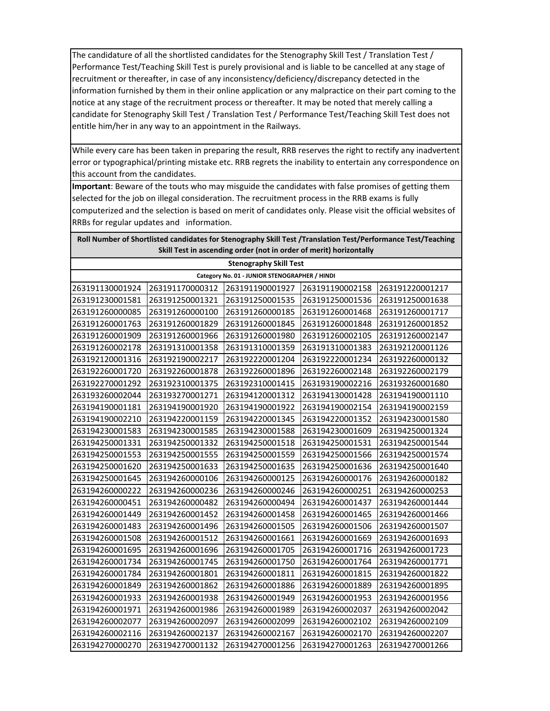The candidature of all the shortlisted candidates for the Stenography Skill Test / Translation Test / Performance Test/Teaching Skill Test is purely provisional and is liable to be cancelled at any stage of recruitment or thereafter, in case of any inconsistency/deficiency/discrepancy detected in the information furnished by them in their online application or any malpractice on their part coming to the notice at any stage of the recruitment process or thereafter. It may be noted that merely calling a candidate for Stenography Skill Test / Translation Test / Performance Test/Teaching Skill Test does not entitle him/her in any way to an appointment in the Railways.

While every care has been taken in preparing the result, RRB reserves the right to rectify any inadvertent error or typographical/printing mistake etc. RRB regrets the inability to entertain any correspondence on this account from the candidates.

**Important**: Beware of the touts who may misguide the candidates with false promises of getting them selected for the job on illegal consideration. The recruitment process in the RRB exams is fully computerized and the selection is based on merit of candidates only. Please visit the official websites of RRBs for regular updates and information.

| Roll Number of Shortlisted candidates for Stenography Skill Test /Translation Test/Performance Test/Teaching |
|--------------------------------------------------------------------------------------------------------------|
| Skill Test in ascending order (not in order of merit) horizontally                                           |

| <b>Stenography Skill Test</b>                 |                 |                 |                 |                 |  |  |  |
|-----------------------------------------------|-----------------|-----------------|-----------------|-----------------|--|--|--|
| Category No. 01 - JUNIOR STENOGRAPHER / HINDI |                 |                 |                 |                 |  |  |  |
| 263191130001924                               | 263191170000312 | 263191190001927 | 263191190002158 | 263191220001217 |  |  |  |
| 263191230001581                               | 263191250001321 | 263191250001535 | 263191250001536 | 263191250001638 |  |  |  |
| 263191260000085                               | 263191260000100 | 263191260000185 | 263191260001468 | 263191260001717 |  |  |  |
| 263191260001763                               | 263191260001829 | 263191260001845 | 263191260001848 | 263191260001852 |  |  |  |
| 263191260001909                               | 263191260001966 | 263191260001980 | 263191260002105 | 263191260002147 |  |  |  |
| 263191260002178                               | 263191310001358 | 263191310001359 | 263191310001383 | 263192120001126 |  |  |  |
| 263192120001316                               | 263192190002217 | 263192220001204 | 263192220001234 | 263192260000132 |  |  |  |
| 263192260001720                               | 263192260001878 | 263192260001896 | 263192260002148 | 263192260002179 |  |  |  |
| 263192270001292                               | 263192310001375 | 263192310001415 | 263193190002216 | 263193260001680 |  |  |  |
| 263193260002044                               | 263193270001271 | 263194120001312 | 263194130001428 | 263194190001110 |  |  |  |
| 263194190001181                               | 263194190001920 | 263194190001922 | 263194190002154 | 263194190002159 |  |  |  |
| 263194190002210                               | 263194220001159 | 263194220001345 | 263194220001352 | 263194230001580 |  |  |  |
| 263194230001583                               | 263194230001585 | 263194230001588 | 263194230001609 | 263194250001324 |  |  |  |
| 263194250001331                               | 263194250001332 | 263194250001518 | 263194250001531 | 263194250001544 |  |  |  |
| 263194250001553                               | 263194250001555 | 263194250001559 | 263194250001566 | 263194250001574 |  |  |  |
| 263194250001620                               | 263194250001633 | 263194250001635 | 263194250001636 | 263194250001640 |  |  |  |
| 263194250001645                               | 263194260000106 | 263194260000125 | 263194260000176 | 263194260000182 |  |  |  |
| 263194260000222                               | 263194260000236 | 263194260000246 | 263194260000251 | 263194260000253 |  |  |  |
| 263194260000451                               | 263194260000482 | 263194260000494 | 263194260001437 | 263194260001444 |  |  |  |
| 263194260001449                               | 263194260001452 | 263194260001458 | 263194260001465 | 263194260001466 |  |  |  |
| 263194260001483                               | 263194260001496 | 263194260001505 | 263194260001506 | 263194260001507 |  |  |  |
| 263194260001508                               | 263194260001512 | 263194260001661 | 263194260001669 | 263194260001693 |  |  |  |
| 263194260001695                               | 263194260001696 | 263194260001705 | 263194260001716 | 263194260001723 |  |  |  |
| 263194260001734                               | 263194260001745 | 263194260001750 | 263194260001764 | 263194260001771 |  |  |  |
| 263194260001784                               | 263194260001801 | 263194260001811 | 263194260001815 | 263194260001822 |  |  |  |
| 263194260001849                               | 263194260001862 | 263194260001886 | 263194260001889 | 263194260001895 |  |  |  |
| 263194260001933                               | 263194260001938 | 263194260001949 | 263194260001953 | 263194260001956 |  |  |  |
| 263194260001971                               | 263194260001986 | 263194260001989 | 263194260002037 | 263194260002042 |  |  |  |
| 263194260002077                               | 263194260002097 | 263194260002099 | 263194260002102 | 263194260002109 |  |  |  |
| 263194260002116                               | 263194260002137 | 263194260002167 | 263194260002170 | 263194260002207 |  |  |  |
| 263194270000270                               | 263194270001132 | 263194270001256 | 263194270001263 | 263194270001266 |  |  |  |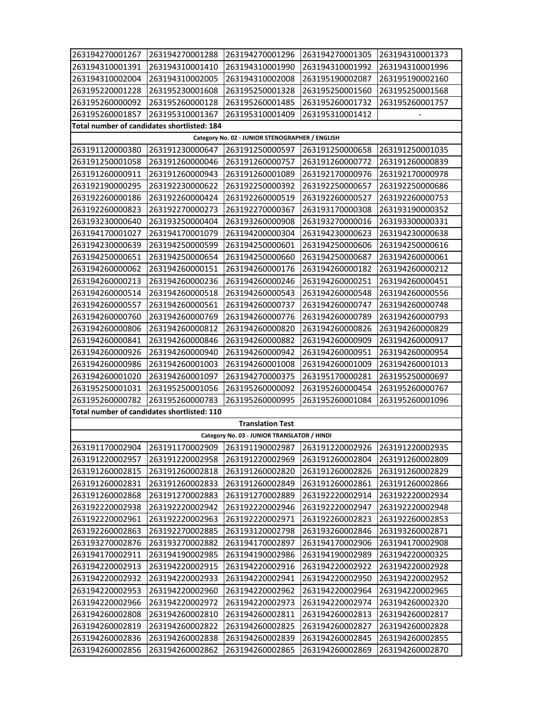| 263194270001267                             | 263194270001288                             | 263194270001296                                 | 263194270001305 | 263194310001373 |  |  |  |  |
|---------------------------------------------|---------------------------------------------|-------------------------------------------------|-----------------|-----------------|--|--|--|--|
| 263194310001391                             | 263194310001410                             | 263194310001990                                 | 263194310001992 | 263194310001996 |  |  |  |  |
| 263194310002004                             | 263194310002005                             | 263194310002008                                 | 263195190002087 | 263195190002160 |  |  |  |  |
| 263195220001228                             | 263195230001608                             | 263195250001328                                 | 263195250001560 | 263195250001568 |  |  |  |  |
| 263195260000092                             | 263195260000128                             | 263195260001485                                 | 263195260001732 | 263195260001757 |  |  |  |  |
| 263195260001857                             | 263195310001367                             | 263195310001409                                 | 263195310001412 |                 |  |  |  |  |
|                                             | Total number of candidates shortlisted: 184 |                                                 |                 |                 |  |  |  |  |
|                                             |                                             | Category No. 02 - JUNIOR STENOGRAPHER / ENGLISH |                 |                 |  |  |  |  |
| 263191120000380                             | 263191230000647                             | 263191250000597                                 | 263191250000658 | 263191250001035 |  |  |  |  |
| 263191250001058                             | 263191260000046                             | 263191260000757                                 | 263191260000772 | 263191260000839 |  |  |  |  |
| 263191260000911                             | 263191260000943                             | 263191260001089                                 | 263192170000976 | 263192170000978 |  |  |  |  |
| 263192190000295                             | 263192230000622                             | 263192250000392                                 | 263192250000657 | 263192250000686 |  |  |  |  |
| 263192260000186                             | 263192260000424                             | 263192260000519                                 | 263192260000527 | 263192260000753 |  |  |  |  |
| 263192260000823                             | 263192270000273                             | 263192270000367                                 | 263193170000308 | 263193190000352 |  |  |  |  |
| 263193230000640                             | 263193250000404                             | 263193260000908                                 | 263193270000016 | 263193300000331 |  |  |  |  |
| 263194170001027                             | 263194170001079                             | 263194200000304                                 | 263194230000623 | 263194230000638 |  |  |  |  |
| 263194230000639                             | 263194250000599                             | 263194250000601                                 | 263194250000606 | 263194250000616 |  |  |  |  |
| 263194250000651                             | 263194250000654                             | 263194250000660                                 | 263194250000687 | 263194260000061 |  |  |  |  |
| 263194260000062                             | 263194260000151                             | 263194260000176                                 | 263194260000182 | 263194260000212 |  |  |  |  |
| 263194260000213                             | 263194260000236                             | 263194260000246                                 | 263194260000251 | 263194260000451 |  |  |  |  |
| 263194260000514                             | 263194260000518                             | 263194260000543                                 | 263194260000548 | 263194260000556 |  |  |  |  |
| 263194260000557                             | 263194260000561                             | 263194260000737                                 | 263194260000747 | 263194260000748 |  |  |  |  |
| 263194260000760                             | 263194260000769                             | 263194260000776                                 | 263194260000789 | 263194260000793 |  |  |  |  |
| 263194260000806                             | 263194260000812                             | 263194260000820                                 | 263194260000826 | 263194260000829 |  |  |  |  |
| 263194260000841                             | 263194260000846                             | 263194260000882                                 | 263194260000909 | 263194260000917 |  |  |  |  |
| 263194260000926                             | 263194260000940                             | 263194260000942                                 | 263194260000951 | 263194260000954 |  |  |  |  |
| 263194260000986                             | 263194260001003                             | 263194260001008                                 | 263194260001009 | 263194260001013 |  |  |  |  |
| 263194260001020                             | 263194260001097                             | 263194270000375                                 | 263195170000281 | 263195250000697 |  |  |  |  |
| 263195250001031                             | 263195250001056                             | 263195260000092                                 | 263195260000454 | 263195260000767 |  |  |  |  |
| 263195260000782                             | 263195260000783                             | 263195260000995                                 | 263195260001084 | 263195260001096 |  |  |  |  |
| Total number of candidates shortlisted: 110 |                                             |                                                 |                 |                 |  |  |  |  |
|                                             |                                             | <b>Translation Test</b>                         |                 |                 |  |  |  |  |
| Category No. 03 - JUNIOR TRANSLATOR / HINDI |                                             |                                                 |                 |                 |  |  |  |  |
| 263191170002904                             | 263191170002909                             | 263191190002987                                 | 263191220002926 | 263191220002935 |  |  |  |  |
| 263191220002957                             | 263191220002958                             | 263191220002969                                 | 263191260002804 | 263191260002809 |  |  |  |  |
| 263191260002815                             | 263191260002818                             | 263191260002820                                 | 263191260002826 | 263191260002829 |  |  |  |  |
| 263191260002831                             | 263191260002833                             | 263191260002849                                 | 263191260002861 | 263191260002866 |  |  |  |  |
| 263191260002868                             | 263191270002883                             | 263191270002889                                 | 263192220002914 | 263192220002934 |  |  |  |  |
| 263192220002938                             | 263192220002942                             | 263192220002946                                 | 263192220002947 | 263192220002948 |  |  |  |  |
| 263192220002961                             | 263192220002963                             | 263192220002971                                 | 263192260002823 | 263192260002853 |  |  |  |  |
| 263192260002863                             | 263192270002885                             | 263193120002798                                 | 263193260002846 | 263193260002871 |  |  |  |  |
| 263193270002876                             | 263193270002882                             | 263194170002897                                 | 263194170002906 | 263194170002908 |  |  |  |  |
| 263194170002911                             | 263194190002985                             | 263194190002986                                 | 263194190002989 | 263194220000325 |  |  |  |  |
| 263194220002913                             | 263194220002915                             | 263194220002916                                 | 263194220002922 | 263194220002928 |  |  |  |  |
| 263194220002932                             | 263194220002933                             | 263194220002941                                 | 263194220002950 | 263194220002952 |  |  |  |  |
| 263194220002953                             | 263194220002960                             | 263194220002962                                 | 263194220002964 | 263194220002965 |  |  |  |  |
| 263194220002966                             | 263194220002972                             | 263194220002973                                 | 263194220002974 | 263194260002320 |  |  |  |  |
| 263194260002808                             | 263194260002810                             | 263194260002811                                 | 263194260002813 | 263194260002817 |  |  |  |  |
| 263194260002819                             | 263194260002822                             | 263194260002825                                 | 263194260002827 | 263194260002828 |  |  |  |  |
| 263194260002836                             | 263194260002838                             | 263194260002839                                 | 263194260002845 | 263194260002855 |  |  |  |  |
| 263194260002856                             | 263194260002862                             | 263194260002865                                 | 263194260002869 | 263194260002870 |  |  |  |  |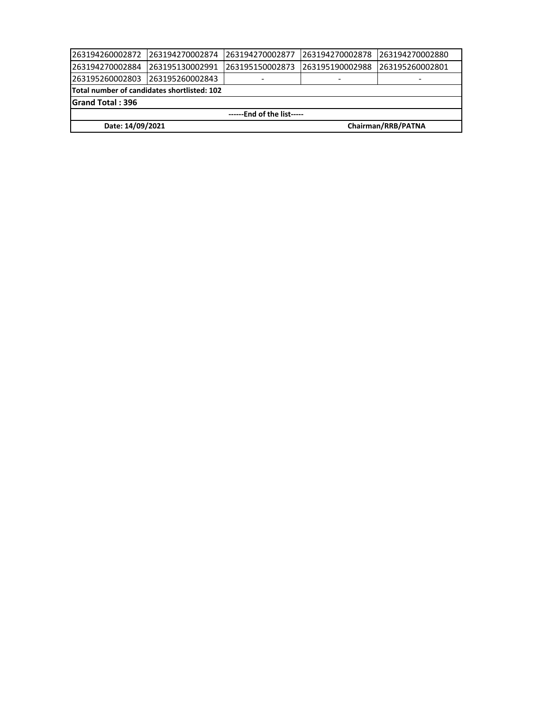| 1263194260002872                                   | 263194270002874 | 1263194270002877 | 263194270002878 | 1263194270002880 |  |  |
|----------------------------------------------------|-----------------|------------------|-----------------|------------------|--|--|
| 1263194270002884                                   | 263195130002991 | 263195150002873  | 263195190002988 | 263195260002801  |  |  |
| 1263195260002803                                   | 263195260002843 |                  |                 |                  |  |  |
| <b>Total number of candidates shortlisted: 102</b> |                 |                  |                 |                  |  |  |
| <b>Grand Total: 396</b>                            |                 |                  |                 |                  |  |  |
| ------End of the list-----                         |                 |                  |                 |                  |  |  |
| Chairman/RRB/PATNA<br>Date: 14/09/2021             |                 |                  |                 |                  |  |  |